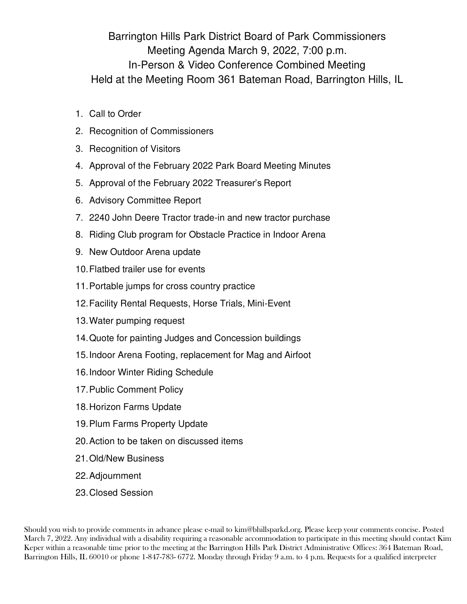Barrington Hills Park District Board of Park Commissioners Meeting Agenda March 9, 2022, 7:00 p.m. In-Person & Video Conference Combined Meeting Held at the Meeting Room 361 Bateman Road, Barrington Hills, IL

- 1. Call to Order
- 2. Recognition of Commissioners
- 3. Recognition of Visitors
- 4. Approval of the February 2022 Park Board Meeting Minutes
- 5. Approval of the February 2022 Treasurer's Report
- 6. Advisory Committee Report
- 7. 2240 John Deere Tractor trade-in and new tractor purchase
- 8. Riding Club program for Obstacle Practice in Indoor Arena
- 9. New Outdoor Arena update
- 10. Flatbed trailer use for events
- 11. Portable jumps for cross country practice
- 12. Facility Rental Requests, Horse Trials, Mini-Event
- 13. Water pumping request
- 14. Quote for painting Judges and Concession buildings
- 15. Indoor Arena Footing, replacement for Mag and Airfoot
- 16. Indoor Winter Riding Schedule
- 17. Public Comment Policy
- 18. Horizon Farms Update
- 19. Plum Farms Property Update
- 20. Action to be taken on discussed items
- 21. Old/New Business
- 22. Adjournment
- 23. Closed Session

Should you wish to provide comments in advance please e-mail to [kim@bhillsparkd.org. P](mailto:bhpdoffice@comcast.net)lease keep your comments concise. Posted March 7, 2022. Any individual with a disability requiring a reasonable accommodation to participate in this meeting should contact Kim Keper within a reasonable time prior to the meeting at the Barrington Hills Park District Administrative Offices: 364 Bateman Road, Barrington Hills, IL 60010 or phone 1-847-783- 6772. Monday through Friday 9 a.m. to 4 p.m. Requests for a qualified interpreter